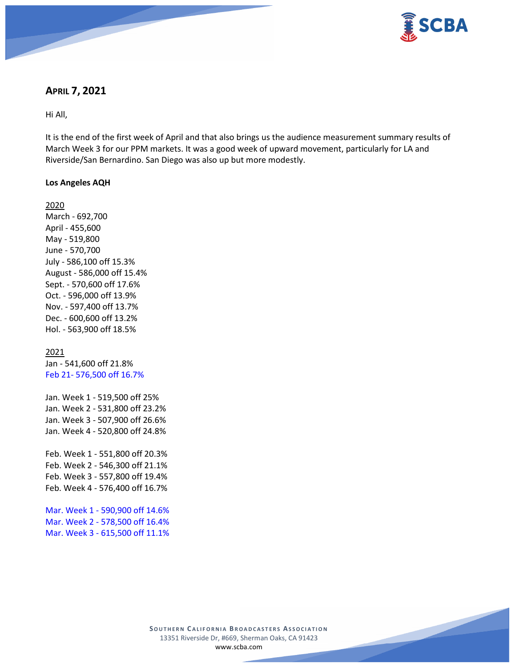

# **APRIL 7, 2021**

Hi All,

It is the end of the first week of April and that also brings us the audience measurement summary results of March Week 3 for our PPM markets. It was a good week of upward movement, particularly for LA and Riverside/San Bernardino. San Diego was also up but more modestly.

### **Los Angeles AQH**

2020 March - 692,700 April - 455,600 May - 519,800 June - 570,700 July - 586,100 off 15.3% August - 586,000 off 15.4% Sept. - 570,600 off 17.6% Oct. - 596,000 off 13.9% Nov. - 597,400 off 13.7% Dec. - 600,600 off 13.2% Hol. - 563,900 off 18.5%

2021

Jan - 541,600 off 21.8% Feb 21- 576,500 off 16.7%

Jan. Week 1 - 519,500 off 25% Jan. Week 2 - 531,800 off 23.2% Jan. Week 3 - 507,900 off 26.6% Jan. Week 4 - 520,800 off 24.8%

Feb. Week 1 - 551,800 off 20.3% Feb. Week 2 - 546,300 off 21.1% Feb. Week 3 - 557,800 off 19.4% Feb. Week 4 - 576,400 off 16.7%

Mar. Week 1 - 590,900 off 14.6% Mar. Week 2 - 578,500 off 16.4% Mar. Week 3 - 615,500 off 11.1%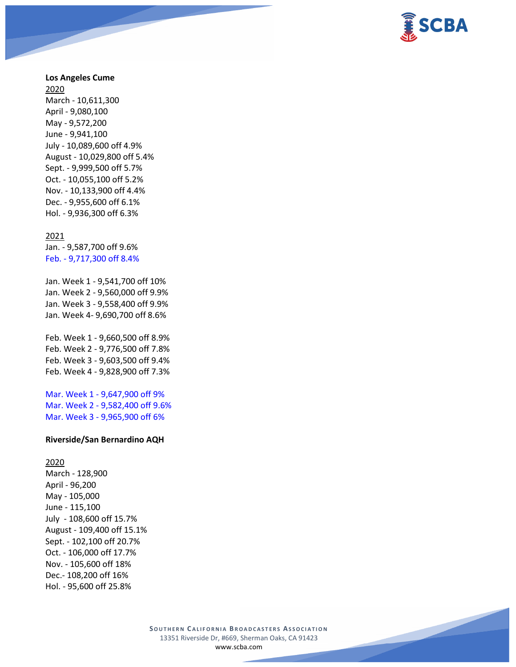

### **Los Angeles Cume**

2020 March - 10,611,300 April - 9,080,100 May - 9,572,200 June - 9,941,100 July - 10,089,600 off 4.9% August - 10,029,800 off 5.4% Sept. - 9,999,500 off 5.7% Oct. - 10,055,100 off 5.2% Nov. - 10,133,900 off 4.4% Dec. - 9,955,600 off 6.1% Hol. - 9,936,300 off 6.3%

#### 2021

Jan. - 9,587,700 off 9.6% Feb. - 9,717,300 off 8.4%

Jan. Week 1 - 9,541,700 off 10% Jan. Week 2 - 9,560,000 off 9.9% Jan. Week 3 - 9,558,400 off 9.9% Jan. Week 4- 9,690,700 off 8.6%

Feb. Week 1 - 9,660,500 off 8.9% Feb. Week 2 - 9,776,500 off 7.8% Feb. Week 3 - 9,603,500 off 9.4% Feb. Week 4 - 9,828,900 off 7.3%

Mar. Week 1 - 9,647,900 off 9% Mar. Week 2 - 9,582,400 off 9.6% Mar. Week 3 - 9,965,900 off 6%

#### **Riverside/San Bernardino AQH**

2020 March - 128,900 April - 96,200 May - 105,000 June - 115,100 July - 108,600 off 15.7% August - 109,400 off 15.1% Sept. - 102,100 off 20.7% Oct. - 106,000 off 17.7% Nov. - 105,600 off 18% Dec.- 108,200 off 16% Hol. - 95,600 off 25.8%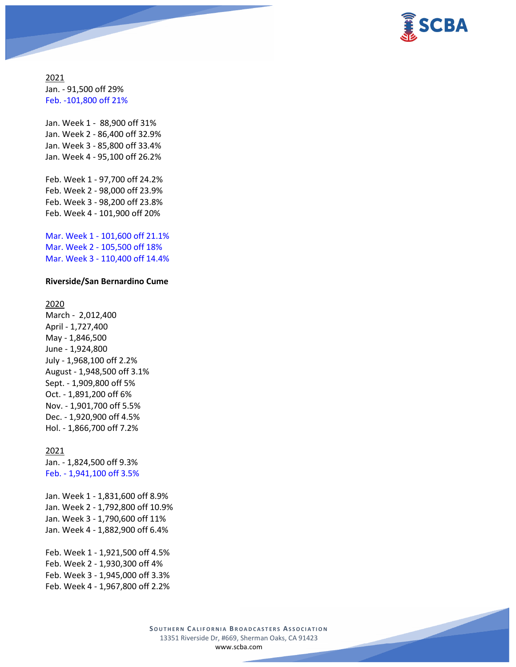

2021 Jan. - 91,500 off 29% Feb. -101,800 off 21%

Jan. Week 1 - 88,900 off 31% Jan. Week 2 - 86,400 off 32.9% Jan. Week 3 - 85,800 off 33.4% Jan. Week 4 - 95,100 off 26.2%

Feb. Week 1 - 97,700 off 24.2% Feb. Week 2 - 98,000 off 23.9% Feb. Week 3 - 98,200 off 23.8% Feb. Week 4 - 101,900 off 20%

Mar. Week 1 - 101,600 off 21.1% Mar. Week 2 - 105,500 off 18% Mar. Week 3 - 110,400 off 14.4%

#### **Riverside/San Bernardino Cume**

2020

March - 2,012,400 April - 1,727,400 May - 1,846,500 June - 1,924,800 July - 1,968,100 off 2.2% August - 1,948,500 off 3.1% Sept. - 1,909,800 off 5% Oct. - 1,891,200 off 6% Nov. - 1,901,700 off 5.5% Dec. - 1,920,900 off 4.5% Hol. - 1,866,700 off 7.2%

2021

Jan. - 1,824,500 off 9.3% Feb. - 1,941,100 off 3.5%

Jan. Week 1 - 1,831,600 off 8.9% Jan. Week 2 - 1,792,800 off 10.9% Jan. Week 3 - 1,790,600 off 11% Jan. Week 4 - 1,882,900 off 6.4%

Feb. Week 1 - 1,921,500 off 4.5% Feb. Week 2 - 1,930,300 off 4% Feb. Week 3 - 1,945,000 off 3.3% Feb. Week 4 - 1,967,800 off 2.2%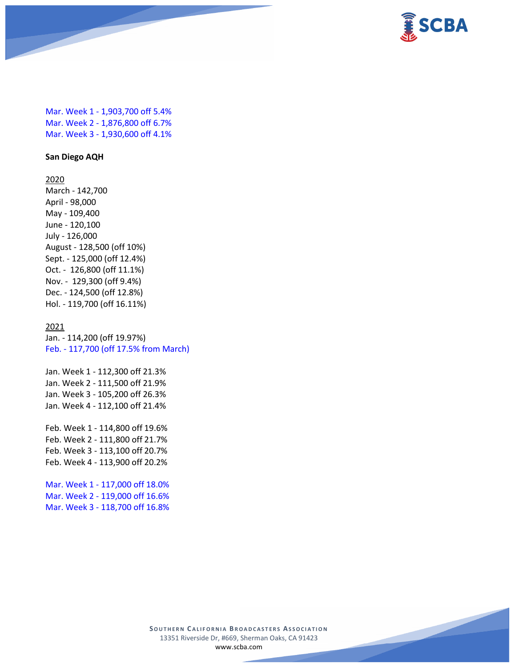

Mar. Week 1 - 1,903,700 off 5.4% Mar. Week 2 - 1,876,800 off 6.7% Mar. Week 3 - 1,930,600 off 4.1%

### **San Diego AQH**

2020 March - 142,700 April - 98,000 May - 109,400 June - 120,100 July - 126,000 August - 128,500 (off 10%) Sept. - 125,000 (off 12.4%) Oct. - 126,800 (off 11.1%) Nov. - 129,300 (off 9.4%) Dec. - 124,500 (off 12.8%) Hol. - 119,700 (off 16.11%)

#### 2021

Jan. - 114,200 (off 19.97%) Feb. - 117,700 (off 17.5% from March)

Jan. Week 1 - 112,300 off 21.3% Jan. Week 2 - 111,500 off 21.9% Jan. Week 3 - 105,200 off 26.3% Jan. Week 4 - 112,100 off 21.4%

Feb. Week 1 - 114,800 off 19.6% Feb. Week 2 - 111,800 off 21.7% Feb. Week 3 - 113,100 off 20.7% Feb. Week 4 - 113,900 off 20.2%

Mar. Week 1 - 117,000 off 18.0% Mar. Week 2 - 119,000 off 16.6% Mar. Week 3 - 118,700 off 16.8%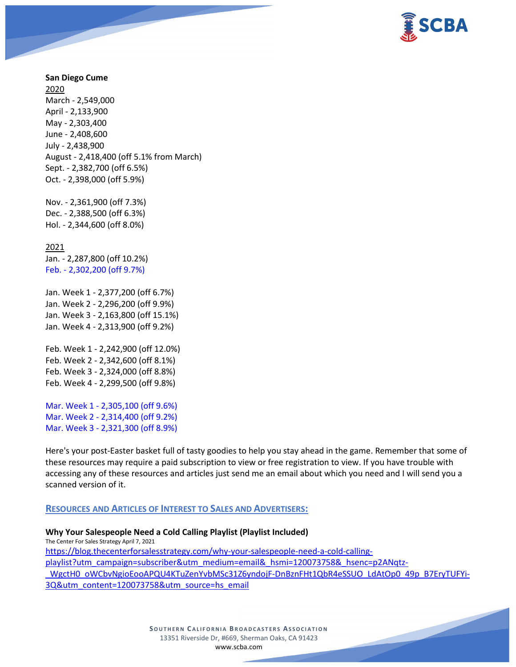

### **San Diego Cume**

2020 March - 2,549,000 April - 2,133,900 May - 2,303,400 June - 2,408,600 July - 2,438,900 August - 2,418,400 (off 5.1% from March) Sept. - 2,382,700 (off 6.5%) Oct. - 2,398,000 (off 5.9%)

Nov. - 2,361,900 (off 7.3%) Dec. - 2,388,500 (off 6.3%) Hol. - 2,344,600 (off 8.0%)

2021 Jan. - 2,287,800 (off 10.2%) Feb. - 2,302,200 (off 9.7%)

Jan. Week 1 - 2,377,200 (off 6.7%) Jan. Week 2 - 2,296,200 (off 9.9%) Jan. Week 3 - 2,163,800 (off 15.1%) Jan. Week 4 - 2,313,900 (off 9.2%)

Feb. Week 1 - 2,242,900 (off 12.0%) Feb. Week 2 - 2,342,600 (off 8.1%) Feb. Week 3 - 2,324,000 (off 8.8%) Feb. Week 4 - 2,299,500 (off 9.8%)

Mar. Week 1 - 2,305,100 (off 9.6%) Mar. Week 2 - 2,314,400 (off 9.2%) Mar. Week 3 - 2,321,300 (off 8.9%)

Here's your post-Easter basket full of tasty goodies to help you stay ahead in the game. Remember that some of these resources may require a paid subscription to view or free registration to view. If you have trouble with accessing any of these resources and articles just send me an email about which you need and I will send you a scanned version of it.

#### **RESOURCES AND ARTICLES OF INTEREST TO SALES AND ADVERTISERS:**

**Why Your Salespeople Need a Cold Calling Playlist (Playlist Included)** The Center For Sales Strategy April 7, 2021 [https://blog.thecenterforsalesstrategy.com/why-your-salespeople-need-a-cold-calling](https://blog.thecenterforsalesstrategy.com/why-your-salespeople-need-a-cold-calling-playlist?utm_campaign=subscriber&utm_medium=email&_hsmi=120073758&_hsenc=p2ANqtz-_WgctH0_oWCbvNgioEooAPQU4KTuZenYvbMSc31Z6yndojF-DnBznFHt1QbR4eSSUO_LdAtOp0_49p_B7EryTUFYi-3Q&utm_content=120073758&utm_source=hs_email)[playlist?utm\\_campaign=subscriber&utm\\_medium=email&\\_hsmi=120073758&\\_hsenc=p2ANqtz-](https://blog.thecenterforsalesstrategy.com/why-your-salespeople-need-a-cold-calling-playlist?utm_campaign=subscriber&utm_medium=email&_hsmi=120073758&_hsenc=p2ANqtz-_WgctH0_oWCbvNgioEooAPQU4KTuZenYvbMSc31Z6yndojF-DnBznFHt1QbR4eSSUO_LdAtOp0_49p_B7EryTUFYi-3Q&utm_content=120073758&utm_source=hs_email) WgctH0\_oWCbvNgioEooAPQU4KTuZenYvbMSc31Z6yndojF-DnBznFHt1QbR4eSSUO\_LdAtOp0\_49p\_B7EryTUFYi-[3Q&utm\\_content=120073758&utm\\_source=hs\\_email](https://blog.thecenterforsalesstrategy.com/why-your-salespeople-need-a-cold-calling-playlist?utm_campaign=subscriber&utm_medium=email&_hsmi=120073758&_hsenc=p2ANqtz-_WgctH0_oWCbvNgioEooAPQU4KTuZenYvbMSc31Z6yndojF-DnBznFHt1QbR4eSSUO_LdAtOp0_49p_B7EryTUFYi-3Q&utm_content=120073758&utm_source=hs_email)

> **SOUTHERN C ALIFORNIA B ROADCASTERS ASSOCIATION** 13351 Riverside Dr, #669, Sherman Oaks, CA 91423 [www.scba.com](http://www.scba.com/)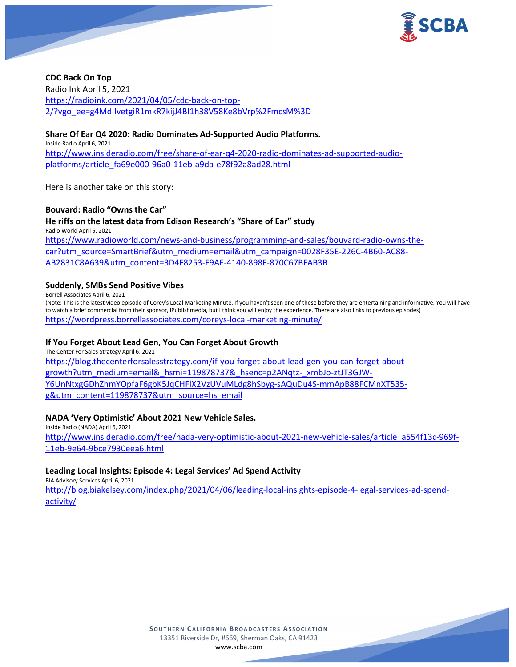

**CDC Back On Top** Radio Ink April 5, 2021 [https://radioink.com/2021/04/05/cdc-back-on-top-](https://radioink.com/2021/04/05/cdc-back-on-top-2/?vgo_ee=g4MdIIvetgiR1mkR7kijJ4BI1h38V58Ke8bVrp%2FmcsM%3D)[2/?vgo\\_ee=g4MdIIvetgiR1mkR7kijJ4BI1h38V58Ke8bVrp%2FmcsM%3D](https://radioink.com/2021/04/05/cdc-back-on-top-2/?vgo_ee=g4MdIIvetgiR1mkR7kijJ4BI1h38V58Ke8bVrp%2FmcsM%3D)

### **Share Of Ear Q4 2020: Radio Dominates Ad-Supported Audio Platforms.**

Inside Radio April 6, 2021 [http://www.insideradio.com/free/share-of-ear-q4-2020-radio-dominates-ad-supported-audio](http://www.insideradio.com/free/share-of-ear-q4-2020-radio-dominates-ad-supported-audio-platforms/article_fa69e000-96a0-11eb-a9da-e78f92a8ad28.html)[platforms/article\\_fa69e000-96a0-11eb-a9da-e78f92a8ad28.html](http://www.insideradio.com/free/share-of-ear-q4-2020-radio-dominates-ad-supported-audio-platforms/article_fa69e000-96a0-11eb-a9da-e78f92a8ad28.html)

Here is another take on this story:

#### **Bouvard: Radio "Owns the Car"**

**He riffs on the latest data from Edison Research's "Share of Ear" study** Radio World April 5, 2021 [https://www.radioworld.com/news-and-business/programming-and-sales/bouvard-radio-owns-the](https://www.radioworld.com/news-and-business/programming-and-sales/bouvard-radio-owns-the-car?utm_source=SmartBrief&utm_medium=email&utm_campaign=0028F35E-226C-4B60-AC88-AB2831C8A639&utm_content=3D4F8253-F9AE-4140-898F-870C67BFAB3B)[car?utm\\_source=SmartBrief&utm\\_medium=email&utm\\_campaign=0028F35E-226C-4B60-AC88-](https://www.radioworld.com/news-and-business/programming-and-sales/bouvard-radio-owns-the-car?utm_source=SmartBrief&utm_medium=email&utm_campaign=0028F35E-226C-4B60-AC88-AB2831C8A639&utm_content=3D4F8253-F9AE-4140-898F-870C67BFAB3B) [AB2831C8A639&utm\\_content=3D4F8253-F9AE-4140-898F-870C67BFAB3B](https://www.radioworld.com/news-and-business/programming-and-sales/bouvard-radio-owns-the-car?utm_source=SmartBrief&utm_medium=email&utm_campaign=0028F35E-226C-4B60-AC88-AB2831C8A639&utm_content=3D4F8253-F9AE-4140-898F-870C67BFAB3B)

#### **Suddenly, SMBs Send Positive Vibes**

Borrell Associates April 6, 2021

(Note: This is the latest video episode of Corey's Local Marketing Minute. If you haven't seen one of these before they are entertaining and informative. You will have to watch a brief commercial from their sponsor, iPublishmedia, but I think you will enjoy the experience. There are also links to previous episodes) <https://wordpress.borrellassociates.com/coreys-local-marketing-minute/>

### **If You Forget About Lead Gen, You Can Forget About Growth**

The Center For Sales Strategy April 6, 2021 [https://blog.thecenterforsalesstrategy.com/if-you-forget-about-lead-gen-you-can-forget-about](https://blog.thecenterforsalesstrategy.com/if-you-forget-about-lead-gen-you-can-forget-about-growth?utm_medium=email&_hsmi=119878737&_hsenc=p2ANqtz-_xmbJo-ztJT3GJW-Y6UnNtxgGDhZhmYOpfaF6gbK5JqCHFlX2VzUVuMLdg8hSbyg-sAQuDu4S-mmApB88FCMnXT535-g&utm_content=119878737&utm_source=hs_email)[growth?utm\\_medium=email&\\_hsmi=119878737&\\_hsenc=p2ANqtz-\\_xmbJo-ztJT3GJW-](https://blog.thecenterforsalesstrategy.com/if-you-forget-about-lead-gen-you-can-forget-about-growth?utm_medium=email&_hsmi=119878737&_hsenc=p2ANqtz-_xmbJo-ztJT3GJW-Y6UnNtxgGDhZhmYOpfaF6gbK5JqCHFlX2VzUVuMLdg8hSbyg-sAQuDu4S-mmApB88FCMnXT535-g&utm_content=119878737&utm_source=hs_email)[Y6UnNtxgGDhZhmYOpfaF6gbK5JqCHFlX2VzUVuMLdg8hSbyg-sAQuDu4S-mmApB88FCMnXT535](https://blog.thecenterforsalesstrategy.com/if-you-forget-about-lead-gen-you-can-forget-about-growth?utm_medium=email&_hsmi=119878737&_hsenc=p2ANqtz-_xmbJo-ztJT3GJW-Y6UnNtxgGDhZhmYOpfaF6gbK5JqCHFlX2VzUVuMLdg8hSbyg-sAQuDu4S-mmApB88FCMnXT535-g&utm_content=119878737&utm_source=hs_email) [g&utm\\_content=119878737&utm\\_source=hs\\_email](https://blog.thecenterforsalesstrategy.com/if-you-forget-about-lead-gen-you-can-forget-about-growth?utm_medium=email&_hsmi=119878737&_hsenc=p2ANqtz-_xmbJo-ztJT3GJW-Y6UnNtxgGDhZhmYOpfaF6gbK5JqCHFlX2VzUVuMLdg8hSbyg-sAQuDu4S-mmApB88FCMnXT535-g&utm_content=119878737&utm_source=hs_email)

### **NADA 'Very Optimistic' About 2021 New Vehicle Sales.**

Inside Radio (NADA) April 6, 2021 [http://www.insideradio.com/free/nada-very-optimistic-about-2021-new-vehicle-sales/article\\_a554f13c-969f-](http://www.insideradio.com/free/nada-very-optimistic-about-2021-new-vehicle-sales/article_a554f13c-969f-11eb-9e64-9bce7930eea6.html)[11eb-9e64-9bce7930eea6.html](http://www.insideradio.com/free/nada-very-optimistic-about-2021-new-vehicle-sales/article_a554f13c-969f-11eb-9e64-9bce7930eea6.html)

#### **Leading Local Insights: Episode 4: Legal Services' Ad Spend Activity**

BIA Advisory Services April 6, 2021

[http://blog.biakelsey.com/index.php/2021/04/06/leading-local-insights-episode-4-legal-services-ad-spend](http://blog.biakelsey.com/index.php/2021/04/06/leading-local-insights-episode-4-legal-services-ad-spend-activity/)[activity/](http://blog.biakelsey.com/index.php/2021/04/06/leading-local-insights-episode-4-legal-services-ad-spend-activity/)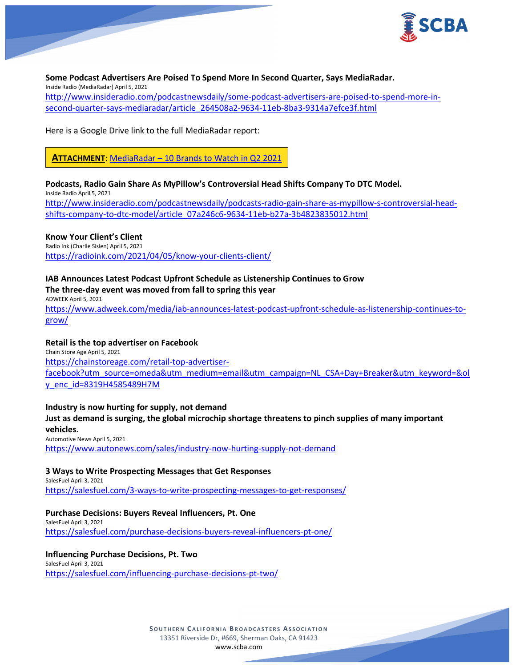

**Some Podcast Advertisers Are Poised To Spend More In Second Quarter, Says MediaRadar.** Inside Radio (MediaRadar) April 5, 2021 [http://www.insideradio.com/podcastnewsdaily/some-podcast-advertisers-are-poised-to-spend-more-in](http://www.insideradio.com/podcastnewsdaily/some-podcast-advertisers-are-poised-to-spend-more-in-second-quarter-says-mediaradar/article_264508a2-9634-11eb-8ba3-9314a7efce3f.html)[second-quarter-says-mediaradar/article\\_264508a2-9634-11eb-8ba3-9314a7efce3f.html](http://www.insideradio.com/podcastnewsdaily/some-podcast-advertisers-are-poised-to-spend-more-in-second-quarter-says-mediaradar/article_264508a2-9634-11eb-8ba3-9314a7efce3f.html)

Here is a Google Drive link to the full MediaRadar report:

**ATTACHMENT**: MediaRadar – [10 Brands to Watch in Q2 2021](https://scba.com/mediaradar_10-brands-to-watch-in-q2-2021_trend-report_final/)

**Podcasts, Radio Gain Share As MyPillow's Controversial Head Shifts Company To DTC Model.**

Inside Radio April 5, 2021 [http://www.insideradio.com/podcastnewsdaily/podcasts-radio-gain-share-as-mypillow-s-controversial-head](http://www.insideradio.com/podcastnewsdaily/podcasts-radio-gain-share-as-mypillow-s-controversial-head-shifts-company-to-dtc-model/article_07a246c6-9634-11eb-b27a-3b4823835012.html)[shifts-company-to-dtc-model/article\\_07a246c6-9634-11eb-b27a-3b4823835012.html](http://www.insideradio.com/podcastnewsdaily/podcasts-radio-gain-share-as-mypillow-s-controversial-head-shifts-company-to-dtc-model/article_07a246c6-9634-11eb-b27a-3b4823835012.html)

### **Know Your Client's Client**

Radio Ink (Charlie Sislen) April 5, 2021 <https://radioink.com/2021/04/05/know-your-clients-client/>

### **IAB Announces Latest Podcast Upfront Schedule as Listenership Continues to Grow**

### **The three-day event was moved from fall to spring this year**

ADWEEK April 5, 2021 [https://www.adweek.com/media/iab-announces-latest-podcast-upfront-schedule-as-listenership-continues-to](https://www.adweek.com/media/iab-announces-latest-podcast-upfront-schedule-as-listenership-continues-to-grow/)[grow/](https://www.adweek.com/media/iab-announces-latest-podcast-upfront-schedule-as-listenership-continues-to-grow/)

### **Retail is the top advertiser on Facebook**

Chain Store Age April 5, 2021 [https://chainstoreage.com/retail-top-advertiser](https://chainstoreage.com/retail-top-advertiser-facebook?utm_source=omeda&utm_medium=email&utm_campaign=NL_CSA+Day+Breaker&utm_keyword=&oly_enc_id=8319H4585489H7M)[facebook?utm\\_source=omeda&utm\\_medium=email&utm\\_campaign=NL\\_CSA+Day+Breaker&utm\\_keyword=&ol](https://chainstoreage.com/retail-top-advertiser-facebook?utm_source=omeda&utm_medium=email&utm_campaign=NL_CSA+Day+Breaker&utm_keyword=&oly_enc_id=8319H4585489H7M) [y\\_enc\\_id=8319H4585489H7M](https://chainstoreage.com/retail-top-advertiser-facebook?utm_source=omeda&utm_medium=email&utm_campaign=NL_CSA+Day+Breaker&utm_keyword=&oly_enc_id=8319H4585489H7M)

### **Industry is now hurting for supply, not demand**

**Just as demand is surging, the global microchip shortage threatens to pinch supplies of many important vehicles.**

Automotive News April 5, 2021 <https://www.autonews.com/sales/industry-now-hurting-supply-not-demand>

#### **3 Ways to Write Prospecting Messages that Get Responses**

SalesFuel April 3, 2021 <https://salesfuel.com/3-ways-to-write-prospecting-messages-to-get-responses/>

#### **Purchase Decisions: Buyers Reveal Influencers, Pt. One**

SalesFuel April 3, 2021 <https://salesfuel.com/purchase-decisions-buyers-reveal-influencers-pt-one/>

#### **Influencing Purchase Decisions, Pt. Two**

SalesFuel April 3, 2021 <https://salesfuel.com/influencing-purchase-decisions-pt-two/>

> **SOUTHERN C ALIFORNIA B ROADCASTERS ASSOCIATION** 13351 Riverside Dr, #669, Sherman Oaks, CA 91423 [www.scba.com](http://www.scba.com/)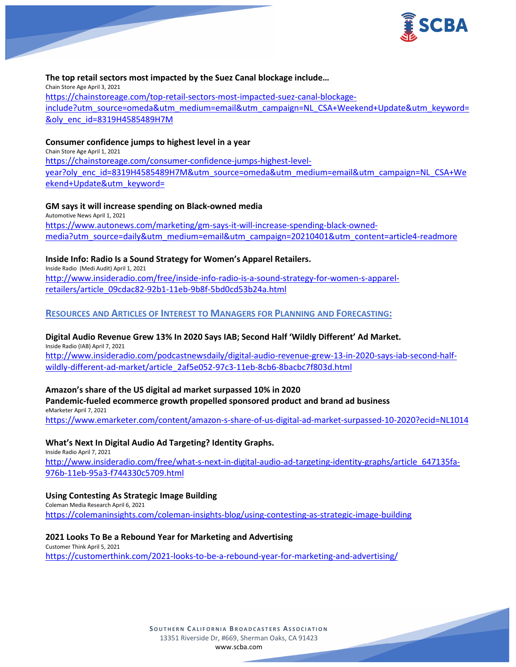

### **The top retail sectors most impacted by the Suez Canal blockage include…**

Chain Store Age April 3, 2021 [https://chainstoreage.com/top-retail-sectors-most-impacted-suez-canal-blockage](https://chainstoreage.com/top-retail-sectors-most-impacted-suez-canal-blockage-include?utm_source=omeda&utm_medium=email&utm_campaign=NL_CSA+Weekend+Update&utm_keyword=&oly_enc_id=8319H4585489H7M)[include?utm\\_source=omeda&utm\\_medium=email&utm\\_campaign=NL\\_CSA+Weekend+Update&utm\\_keyword=](https://chainstoreage.com/top-retail-sectors-most-impacted-suez-canal-blockage-include?utm_source=omeda&utm_medium=email&utm_campaign=NL_CSA+Weekend+Update&utm_keyword=&oly_enc_id=8319H4585489H7M) [&oly\\_enc\\_id=8319H4585489H7M](https://chainstoreage.com/top-retail-sectors-most-impacted-suez-canal-blockage-include?utm_source=omeda&utm_medium=email&utm_campaign=NL_CSA+Weekend+Update&utm_keyword=&oly_enc_id=8319H4585489H7M)

### **Consumer confidence jumps to highest level in a year**

Chain Store Age April 1, 2021 [https://chainstoreage.com/consumer-confidence-jumps-highest-level](https://chainstoreage.com/consumer-confidence-jumps-highest-level-year?oly_enc_id=8319H4585489H7M&utm_source=omeda&utm_medium=email&utm_campaign=NL_CSA+Weekend+Update&utm_keyword=)[year?oly\\_enc\\_id=8319H4585489H7M&utm\\_source=omeda&utm\\_medium=email&utm\\_campaign=NL\\_CSA+We](https://chainstoreage.com/consumer-confidence-jumps-highest-level-year?oly_enc_id=8319H4585489H7M&utm_source=omeda&utm_medium=email&utm_campaign=NL_CSA+Weekend+Update&utm_keyword=) [ekend+Update&utm\\_keyword=](https://chainstoreage.com/consumer-confidence-jumps-highest-level-year?oly_enc_id=8319H4585489H7M&utm_source=omeda&utm_medium=email&utm_campaign=NL_CSA+Weekend+Update&utm_keyword=)

### **GM says it will increase spending on Black-owned media**

Automotive News April 1, 2021 [https://www.autonews.com/marketing/gm-says-it-will-increase-spending-black-owned](https://www.autonews.com/marketing/gm-says-it-will-increase-spending-black-owned-media?utm_source=daily&utm_medium=email&utm_campaign=20210401&utm_content=article4-readmore)[media?utm\\_source=daily&utm\\_medium=email&utm\\_campaign=20210401&utm\\_content=article4-readmore](https://www.autonews.com/marketing/gm-says-it-will-increase-spending-black-owned-media?utm_source=daily&utm_medium=email&utm_campaign=20210401&utm_content=article4-readmore)

### **Inside Info: Radio Is a Sound Strategy for Women's Apparel Retailers.**

Inside Radio (Medi Audit) April 1, 2021 [http://www.insideradio.com/free/inside-info-radio-is-a-sound-strategy-for-women-s-apparel](http://www.insideradio.com/free/inside-info-radio-is-a-sound-strategy-for-women-s-apparel-retailers/article_09cdac82-92b1-11eb-9b8f-5bd0cd53b24a.html)[retailers/article\\_09cdac82-92b1-11eb-9b8f-5bd0cd53b24a.html](http://www.insideradio.com/free/inside-info-radio-is-a-sound-strategy-for-women-s-apparel-retailers/article_09cdac82-92b1-11eb-9b8f-5bd0cd53b24a.html)

### **RESOURCES AND ARTICLES OF INTEREST TO MANAGERS FOR PLANNING AND FORECASTING:**

## **Digital Audio Revenue Grew 13% In 2020 Says IAB; Second Half 'Wildly Different' Ad Market.**

Inside Radio (IAB) April 7, 2021 [http://www.insideradio.com/podcastnewsdaily/digital-audio-revenue-grew-13-in-2020-says-iab-second-half](http://www.insideradio.com/podcastnewsdaily/digital-audio-revenue-grew-13-in-2020-says-iab-second-half-wildly-different-ad-market/article_2af5e052-97c3-11eb-8cb6-8bacbc7f803d.html)[wildly-different-ad-market/article\\_2af5e052-97c3-11eb-8cb6-8bacbc7f803d.html](http://www.insideradio.com/podcastnewsdaily/digital-audio-revenue-grew-13-in-2020-says-iab-second-half-wildly-different-ad-market/article_2af5e052-97c3-11eb-8cb6-8bacbc7f803d.html)

### **Amazon's share of the US digital ad market surpassed 10% in 2020**

## **Pandemic-fueled ecommerce growth propelled sponsored product and brand ad business** eMarketer April 7, 2021

<https://www.emarketer.com/content/amazon-s-share-of-us-digital-ad-market-surpassed-10-2020?ecid=NL1014>

### **What's Next In Digital Audio Ad Targeting? Identity Graphs.**

Inside Radio April 7, 2021 [http://www.insideradio.com/free/what-s-next-in-digital-audio-ad-targeting-identity-graphs/article\\_647135fa-](http://www.insideradio.com/free/what-s-next-in-digital-audio-ad-targeting-identity-graphs/article_647135fa-976b-11eb-95a3-f744330c5709.html)[976b-11eb-95a3-f744330c5709.html](http://www.insideradio.com/free/what-s-next-in-digital-audio-ad-targeting-identity-graphs/article_647135fa-976b-11eb-95a3-f744330c5709.html)

#### **Using Contesting As Strategic Image Building**

Coleman Media Research April 6, 2021 <https://colemaninsights.com/coleman-insights-blog/using-contesting-as-strategic-image-building>

### **2021 Looks To Be a Rebound Year for Marketing and Advertising**

Customer Think April 5, 2021 <https://customerthink.com/2021-looks-to-be-a-rebound-year-for-marketing-and-advertising/>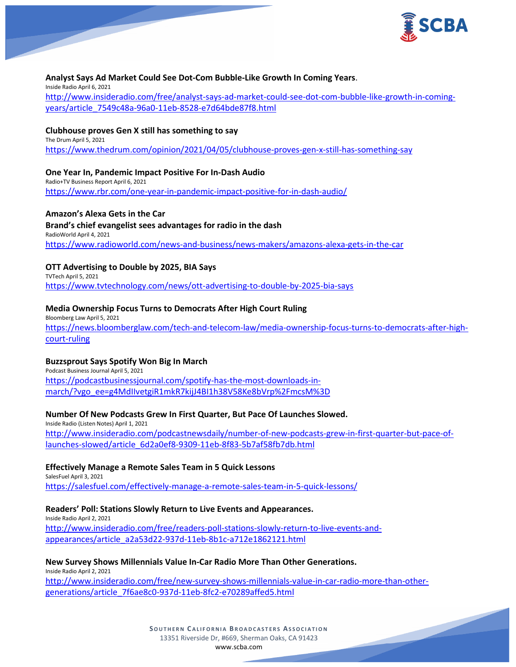

### **Analyst Says Ad Market Could See Dot-Com Bubble-Like Growth In Coming Years**.

Inside Radio April 6, 2021 [http://www.insideradio.com/free/analyst-says-ad-market-could-see-dot-com-bubble-like-growth-in-coming](http://www.insideradio.com/free/analyst-says-ad-market-could-see-dot-com-bubble-like-growth-in-coming-years/article_7549c48a-96a0-11eb-8528-e7d64bde87f8.html)[years/article\\_7549c48a-96a0-11eb-8528-e7d64bde87f8.html](http://www.insideradio.com/free/analyst-says-ad-market-could-see-dot-com-bubble-like-growth-in-coming-years/article_7549c48a-96a0-11eb-8528-e7d64bde87f8.html)

### **Clubhouse proves Gen X still has something to say**

The Drum April 5, 2021 <https://www.thedrum.com/opinion/2021/04/05/clubhouse-proves-gen-x-still-has-something-say>

### **One Year In, Pandemic Impact Positive For In-Dash Audio**

Radio+TV Business Report April 6, 2021 <https://www.rbr.com/one-year-in-pandemic-impact-positive-for-in-dash-audio/>

### **Amazon's Alexa Gets in the Car**

**Brand's chief evangelist sees advantages for radio in the dash** RadioWorld April 4, 2021 <https://www.radioworld.com/news-and-business/news-makers/amazons-alexa-gets-in-the-car>

#### **OTT Advertising to Double by 2025, BIA Says**

TVTech April 5, 2021 <https://www.tvtechnology.com/news/ott-advertising-to-double-by-2025-bia-says>

### **Media Ownership Focus Turns to Democrats After High Court Ruling**

Bloomberg Law April 5, 2021 [https://news.bloomberglaw.com/tech-and-telecom-law/media-ownership-focus-turns-to-democrats-after-high](https://news.bloomberglaw.com/tech-and-telecom-law/media-ownership-focus-turns-to-democrats-after-high-court-ruling)[court-ruling](https://news.bloomberglaw.com/tech-and-telecom-law/media-ownership-focus-turns-to-democrats-after-high-court-ruling)

### **Buzzsprout Says Spotify Won Big In March**

Podcast Business Journal April 5, 2021 [https://podcastbusinessjournal.com/spotify-has-the-most-downloads-in](https://podcastbusinessjournal.com/spotify-has-the-most-downloads-in-march/?vgo_ee=g4MdIIvetgiR1mkR7kijJ4BI1h38V58Ke8bVrp%2FmcsM%3D)[march/?vgo\\_ee=g4MdIIvetgiR1mkR7kijJ4BI1h38V58Ke8bVrp%2FmcsM%3D](https://podcastbusinessjournal.com/spotify-has-the-most-downloads-in-march/?vgo_ee=g4MdIIvetgiR1mkR7kijJ4BI1h38V58Ke8bVrp%2FmcsM%3D)

#### **Number Of New Podcasts Grew In First Quarter, But Pace Of Launches Slowed.**

Inside Radio (Listen Notes) April 1, 2021 [http://www.insideradio.com/podcastnewsdaily/number-of-new-podcasts-grew-in-first-quarter-but-pace-of](http://www.insideradio.com/podcastnewsdaily/number-of-new-podcasts-grew-in-first-quarter-but-pace-of-launches-slowed/article_6d2a0ef8-9309-11eb-8f83-5b7af58fb7db.html)[launches-slowed/article\\_6d2a0ef8-9309-11eb-8f83-5b7af58fb7db.html](http://www.insideradio.com/podcastnewsdaily/number-of-new-podcasts-grew-in-first-quarter-but-pace-of-launches-slowed/article_6d2a0ef8-9309-11eb-8f83-5b7af58fb7db.html)

### **Effectively Manage a Remote Sales Team in 5 Quick Lessons**

SalesFuel April 3, 2021 <https://salesfuel.com/effectively-manage-a-remote-sales-team-in-5-quick-lessons/>

#### **Readers' Poll: Stations Slowly Return to Live Events and Appearances.**

Inside Radio April 2, 2021 [http://www.insideradio.com/free/readers-poll-stations-slowly-return-to-live-events-and](http://www.insideradio.com/free/readers-poll-stations-slowly-return-to-live-events-and-appearances/article_a2a53d22-937d-11eb-8b1c-a712e1862121.html)[appearances/article\\_a2a53d22-937d-11eb-8b1c-a712e1862121.html](http://www.insideradio.com/free/readers-poll-stations-slowly-return-to-live-events-and-appearances/article_a2a53d22-937d-11eb-8b1c-a712e1862121.html)

#### **New Survey Shows Millennials Value In-Car Radio More Than Other Generations.**

Inside Radio April 2, 2021 [http://www.insideradio.com/free/new-survey-shows-millennials-value-in-car-radio-more-than-other](http://www.insideradio.com/free/new-survey-shows-millennials-value-in-car-radio-more-than-other-generations/article_7f6ae8c0-937d-11eb-8fc2-e70289affed5.html)[generations/article\\_7f6ae8c0-937d-11eb-8fc2-e70289affed5.html](http://www.insideradio.com/free/new-survey-shows-millennials-value-in-car-radio-more-than-other-generations/article_7f6ae8c0-937d-11eb-8fc2-e70289affed5.html)

> **SOUTHERN C ALIFORNIA B ROADCASTERS ASSOCIATION** 13351 Riverside Dr, #669, Sherman Oaks, CA 91423 [www.scba.com](http://www.scba.com/)